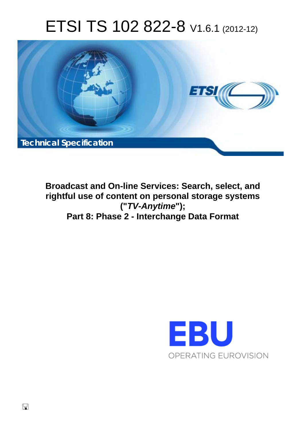# ETSI TS 102 822-8 V1.6.1 (2012-12)



**Broadcast and On-line Services: Search, select, and rightful use of content on personal storage systems ("***TV-Anytime***"); Part 8: Phase 2 - Interchange Data Format** 

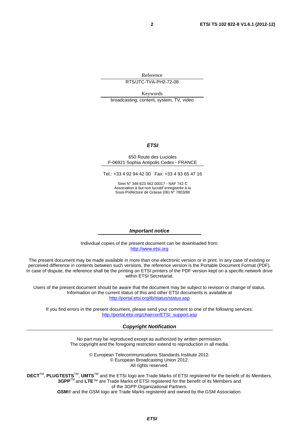Reference

RTS/JTC-TVA-PH2-72-08

Keywords broadcasting, content, system, TV, video

#### *ETSI*

#### 650 Route des Lucioles F-06921 Sophia Antipolis Cedex - FRANCE

Tel.: +33 4 92 94 42 00 Fax: +33 4 93 65 47 16

Siret N° 348 623 562 00017 - NAF 742 C Association à but non lucratif enregistrée à la Sous-Préfecture de Grasse (06) N° 7803/88

#### *Important notice*

Individual copies of the present document can be downloaded from: [http://www.etsi.org](http://www.etsi.org/)

The present document may be made available in more than one electronic version or in print. In any case of existing or perceived difference in contents between such versions, the reference version is the Portable Document Format (PDF). In case of dispute, the reference shall be the printing on ETSI printers of the PDF version kept on a specific network drive within ETSI Secretariat.

Users of the present document should be aware that the document may be subject to revision or change of status. Information on the current status of this and other ETSI documents is available at <http://portal.etsi.org/tb/status/status.asp>

If you find errors in the present document, please send your comment to one of the following services: [http://portal.etsi.org/chaircor/ETSI\\_support.asp](http://portal.etsi.org/chaircor/ETSI_support.asp)

#### *Copyright Notification*

No part may be reproduced except as authorized by written permission. The copyright and the foregoing restriction extend to reproduction in all media.

> © European Telecommunications Standards Institute 2012. © European Broadcasting Union 2012. All rights reserved.

**DECT**TM, **PLUGTESTS**TM, **UMTS**TM and the ETSI logo are Trade Marks of ETSI registered for the benefit of its Members. **3GPP**TM and **LTE**™ are Trade Marks of ETSI registered for the benefit of its Members and of the 3GPP Organizational Partners. **GSM**® and the GSM logo are Trade Marks registered and owned by the GSM Association.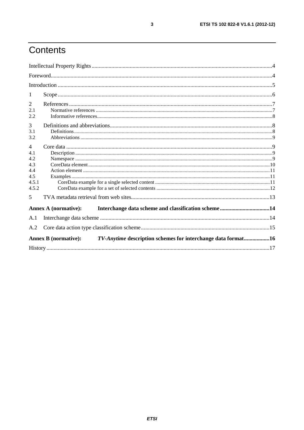# Contents

| 1                                                                                           |  |  |
|---------------------------------------------------------------------------------------------|--|--|
| 2                                                                                           |  |  |
| 2.1                                                                                         |  |  |
| 2.2                                                                                         |  |  |
| 3                                                                                           |  |  |
| 3.1                                                                                         |  |  |
| 3.2                                                                                         |  |  |
| $\overline{4}$                                                                              |  |  |
| 4.1                                                                                         |  |  |
| 4.2                                                                                         |  |  |
|                                                                                             |  |  |
| 4.4                                                                                         |  |  |
| 4.5                                                                                         |  |  |
| 4.5.1                                                                                       |  |  |
| 4.5.2                                                                                       |  |  |
| 5                                                                                           |  |  |
| <b>Annex A (normative):</b>                                                                 |  |  |
| A.1                                                                                         |  |  |
| A.2                                                                                         |  |  |
| TV-Anytime description schemes for interchange data format16<br><b>Annex B</b> (normative): |  |  |
|                                                                                             |  |  |

 $\mathbf{3}$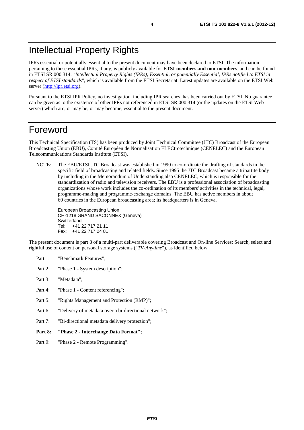# Intellectual Property Rights

IPRs essential or potentially essential to the present document may have been declared to ETSI. The information pertaining to these essential IPRs, if any, is publicly available for **ETSI members and non-members**, and can be found in ETSI SR 000 314: *"Intellectual Property Rights (IPRs); Essential, or potentially Essential, IPRs notified to ETSI in respect of ETSI standards"*, which is available from the ETSI Secretariat. Latest updates are available on the ETSI Web server [\(http://ipr.etsi.org\)](http://webapp.etsi.org/IPR/home.asp).

Pursuant to the ETSI IPR Policy, no investigation, including IPR searches, has been carried out by ETSI. No guarantee can be given as to the existence of other IPRs not referenced in ETSI SR 000 314 (or the updates on the ETSI Web server) which are, or may be, or may become, essential to the present document.

#### Foreword

This Technical Specification (TS) has been produced by Joint Technical Committee (JTC) Broadcast of the European Broadcasting Union (EBU), Comité Européen de Normalisation ELECtrotechnique (CENELEC) and the European Telecommunications Standards Institute (ETSI).

NOTE: The EBU/ETSI JTC Broadcast was established in 1990 to co-ordinate the drafting of standards in the specific field of broadcasting and related fields. Since 1995 the JTC Broadcast became a tripartite body by including in the Memorandum of Understanding also CENELEC, which is responsible for the standardization of radio and television receivers. The EBU is a professional association of broadcasting organizations whose work includes the co-ordination of its members' activities in the technical, legal, programme-making and programme-exchange domains. The EBU has active members in about 60 countries in the European broadcasting area; its headquarters is in Geneva.

European Broadcasting Union CH-1218 GRAND SACONNEX (Geneva) Switzerland Tel: +41 22 717 21 11 Fax: +41 22 717 24 81

The present document is part 8 of a multi-part deliverable covering Broadcast and On-line Services: Search, select and rightful use of content on personal storage systems ("*TV-Anytime*"), as identified below:

- Part 1: "Benchmark Features";
- Part 2: "Phase 1 System description";
- Part 3: "Metadata";
- Part 4: "Phase 1 Content referencing":
- Part 5: "Rights Management and Protection (RMP)";
- Part 6: "Delivery of metadata over a bi-directional network";
- Part 7: "Bi-directional metadata delivery protection";
- **Part 8: "Phase 2 Interchange Data Format";**
- Part 9: "Phase 2 Remote Programming".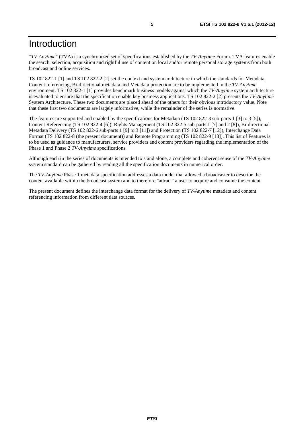## Introduction

*"TV-Anytime"* (TVA) is a synchronized set of specifications established by the *TV-Anytime* Forum. TVA features enable the search, selection, acquisition and rightful use of content on local and/or remote personal storage systems from both broadcast and online services.

TS 102 822-1 [1] and TS 102 822-2 [2] set the context and system architecture in which the standards for Metadata, Content referencing, Bi-directional metadata and Metadata protection are to be implemented in the *TV-Anytime* environment. TS 102 822-1 [1] provides benchmark business models against which the *TV-Anytime* system architecture is evaluated to ensure that the specification enable key business applications. TS 102 822-2 [2] presents the *TV-Anytime* System Architecture. These two documents are placed ahead of the others for their obvious introductory value. Note that these first two documents are largely informative, while the remainder of the series is normative.

The features are supported and enabled by the specifications for Metadata (TS 102 822-3 sub-parts 1 [3] to 3 [5]), Content Referencing (TS 102 822-4 [6]), Rights Management (TS 102 822-5 sub-parts 1 [7] and 2 [8]), Bi-directional Metadata Delivery (TS 102 822-6 sub-parts 1 [9] to 3 [11]) and Protection (TS 102 822-7 [12]), Interchange Data Format (TS 102 822-8 (the present document)) and Remote Programming (TS 102 822-9 [13]). This list of Features is to be used as guidance to manufacturers, service providers and content providers regarding the implementation of the Phase 1 and Phase 2 *TV-Anytime* specifications.

Although each in the series of documents is intended to stand alone, a complete and coherent sense of the *TV-Anytime* system standard can be gathered by reading all the specification documents in numerical order.

The *TV-Anytime* Phase 1 metadata specification addresses a data model that allowed a broadcaster to describe the content available within the broadcast system and to therefore "attract" a user to acquire and consume the content.

The present document defines the interchange data format for the delivery of *TV-Anytime* metadata and content referencing information from different data sources.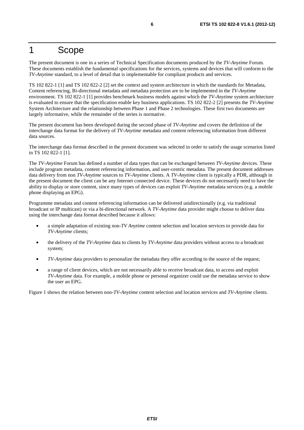#### 1 Scope

The present document is one in a series of Technical Specification documents produced by the *TV-Anytime* Forum. These documents establish the fundamental specifications for the services, systems and devices that will conform to the *TV-Anytime* standard, to a level of detail that is implementable for compliant products and services.

TS 102 822-1 [1] and TS 102 822-2 [2] set the context and system architecture in which the standards for Metadata, Content referencing, Bi-directional metadata and metadata protection are to be implemented in the *TV-Anytime* environment. TS 102 822-1 [1] provides benchmark business models against which the *TV-Anytime* system architecture is evaluated to ensure that the specification enable key business applications. TS 102 822-2 [2] presents the *TV-Anytime* System Architecture and the relationship between Phase 1 and Phase 2 technologies. These first two documents are largely informative, while the remainder of the series is normative.

The present document has been developed during the second phase of *TV-Anytime* and covers the definition of the interchange data format for the delivery of *TV-Anytime* metadata and content referencing information from different data sources.

The interchange data format described in the present document was selected in order to satisfy the usage scenarios listed in TS 102 822-1 [1].

The *TV-Anytime* Forum has defined a number of data types that can be exchanged between *TV-Anytime* devices. These include program metadata, content referencing information, and user-centric metadata. The present document addresses data delivery from non *TV-Anytime* sources to *TV-Anytime* clients. A *TV-Anytime* client is typically a PDR, although in the present document the client can be any Internet connected device. These devices do not necessarily need to have the ability to display or store content, since many types of devices can exploit *TV-Anytime* metadata services (e.g. a mobile phone displaying an EPG).

Programme metadata and content referencing information can be delivered unidirectionally (e.g. via traditional broadcast or IP multicast) or via a bi-directional network. A *TV-Anytime* data provider might choose to deliver data using the interchange data format described because it allows:

- a simple adaptation of existing non-*TV Anytime* content selection and location services to provide data for *TV-Anytime* clients;
- the delivery of the *TV-Anytime* data to clients by *TV-Anytime* data providers without access to a broadcast system;
- *TV-Anytime* data providers to personalize the metadata they offer according to the source of the request;
- a range of client devices, which are not necessarily able to receive broadcast data, to access and exploit *TV-Anytime* data. For example, a mobile phone or personal organizer could use the metadata service to show the user an EPG.

Figure 1 shows the relation between non-*TV-Anytime* content selection and location services and *TV-Anytime* clients.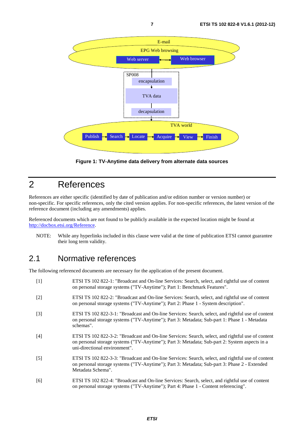

**Figure 1: TV-Anytime data delivery from alternate data sources** 

## 2 References

References are either specific (identified by date of publication and/or edition number or version number) or non-specific. For specific references, only the cited version applies. For non-specific references, the latest version of the reference document (including any amendments) applies.

Referenced documents which are not found to be publicly available in the expected location might be found at [http://docbox.etsi.org/Reference.](http://docbox.etsi.org/Reference)

NOTE: While any hyperlinks included in this clause were valid at the time of publication ETSI cannot guarantee their long term validity.

#### 2.1 Normative references

The following referenced documents are necessary for the application of the present document.

| $[1]$             | ETSI TS 102 822-1: "Broadcast and On-line Services: Search, select, and rightful use of content<br>on personal storage systems ("TV-Anytime"); Part 1: Benchmark Features".                                                         |
|-------------------|-------------------------------------------------------------------------------------------------------------------------------------------------------------------------------------------------------------------------------------|
| $[2]$             | ETSI TS 102 822-2: "Broadcast and On-line Services: Search, select, and rightful use of content<br>on personal storage systems ("TV-Anytime"); Part 2: Phase 1 - System description".                                               |
| $[3]$             | ETSI TS 102 822-3-1: "Broadcast and On-line Services: Search, select, and rightful use of content<br>on personal storage systems ("TV-Anytime"); Part 3: Metadata; Sub-part 1: Phase 1 - Metadata<br>schemas".                      |
| [4]               | ETSI TS 102 822-3-2: "Broadcast and On-line Services: Search, select, and rightful use of content<br>on personal storage systems ("TV-Anytime"); Part 3: Metadata; Sub-part 2: System aspects in a<br>uni-directional environment". |
| $\lceil 5 \rceil$ | ETSI TS 102 822-3-3: "Broadcast and On-line Services: Search, select, and rightful use of content<br>on personal storage systems ("TV-Anytime"); Part 3: Metadata; Sub-part 3: Phase 2 - Extended<br>Metadata Schema".              |
| [6]               | ETSI TS 102 822-4: "Broadcast and On-line Services: Search, select, and rightful use of content<br>on personal storage systems ("TV-Anytime"); Part 4: Phase 1 - Content referencing".                                              |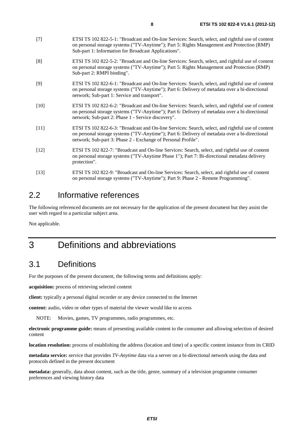- [7] ETSI TS 102 822-5-1: "Broadcast and On-line Services: Search, select, and rightful use of content on personal storage systems ("TV-Anytime"); Part 5: Rights Management and Protection (RMP) Sub-part 1: Information for Broadcast Applications".
- [8] ETSI TS 102 822-5-2: "Broadcast and On-line Services: Search, select, and rightful use of content on personal storage systems ("TV-Anytime"); Part 5: Rights Management and Protection (RMP) Sub-part 2: RMPI binding".
- [9] ETSI TS 102 822-6-1: "Broadcast and On-line Services: Search, select, and rightful use of content on personal storage systems ("TV-Anytime"); Part 6: Delivery of metadata over a bi-directional network; Sub-part 1: Service and transport".
- [10] ETSI TS 102 822-6-2: "Broadcast and On-line Services: Search, select, and rightful use of content on personal storage systems ("TV-Anytime"); Part 6: Delivery of metadata over a bi-directional network; Sub-part 2: Phase 1 - Service discovery".
- [11] ETSI TS 102 822-6-3: "Broadcast and On-line Services: Search, select, and rightful use of content on personal storage systems ("TV-Anytime"); Part 6: Delivery of metadata over a bi-directional network; Sub-part 3: Phase 2 - Exchange of Personal Profile".
- [12] ETSI TS 102 822-7: "Broadcast and On-line Services: Search, select, and rightful use of content on personal storage systems ("TV-Anytime Phase 1"); Part 7: Bi-directional metadata delivery protection".
- [13] ETSI TS 102 822-9: "Broadcast and On-line Services: Search, select, and rightful use of content on personal storage systems ("TV-Anytime"); Part 9: Phase 2 - Remote Programming".

#### 2.2 Informative references

The following referenced documents are not necessary for the application of the present document but they assist the user with regard to a particular subject area.

Not applicable.

## 3 Definitions and abbreviations

#### 3.1 Definitions

For the purposes of the present document, the following terms and definitions apply:

**acquisition:** process of retrieving selected content

**client:** typically a personal digital recorder or any device connected to the Internet

**content:** audio, video or other types of material the viewer would like to access

NOTE: Movies, games, TV programmes, radio programmes, etc.

**electronic programme guide:** means of presenting available content to the consumer and allowing selection of desired content

**location resolution:** process of establishing the address (location and time) of a specific content instance from its CRID

**metadata service:** service that provides *TV-Anytime* data via a server on a bi-directional network using the data and protocols defined in the present document

**metadata:** generally, data about content, such as the title, genre, summary of a television programme consumer preferences and viewing history data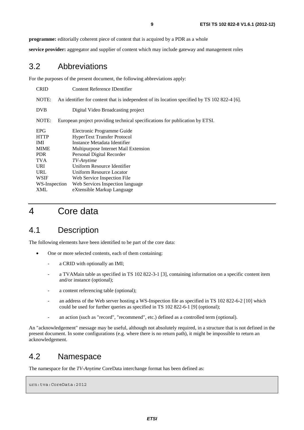**programme:** editorially coherent piece of content that is acquired by a PDR as a whole

**service provider:** aggregator and supplier of content which may include gateway and management roles

#### 3.2 Abbreviations

For the purposes of the present document, the following abbreviations apply:

| <b>CRID</b>   | Content Reference IDentifier                                                                 |  |  |  |
|---------------|----------------------------------------------------------------------------------------------|--|--|--|
| NOTE:         | An identifier for content that is independent of its location specified by TS 102 822-4 [6]. |  |  |  |
| <b>DVB</b>    | Digital Video Broadcasting project                                                           |  |  |  |
| NOTE:         | European project providing technical specifications for publication by ETSI.                 |  |  |  |
| <b>EPG</b>    | Electronic Programme Guide                                                                   |  |  |  |
| <b>HTTP</b>   | <b>HyperText Transfer Protocol</b>                                                           |  |  |  |
| IMI.          | Instance Metadata Identifier                                                                 |  |  |  |
| <b>MIME</b>   | Multipurpose Internet Mail Extension                                                         |  |  |  |
| <b>PDR</b>    | Personal Digital Recorder                                                                    |  |  |  |
| <b>TVA</b>    | TV-Anytime                                                                                   |  |  |  |
| <b>URI</b>    | Uniform Resource Identifier                                                                  |  |  |  |
| URL           | Uniform Resource Locator                                                                     |  |  |  |
| WSIF          | Web Service Inspection File                                                                  |  |  |  |
| WS-Inspection | Web Services Inspection language                                                             |  |  |  |
| XML           | eXtensible Markup Language                                                                   |  |  |  |

### 4 Core data

#### 4.1 Description

The following elements have been identified to be part of the core data:

- One or more selected contents, each of them containing:
	- a CRID with optionally an IMI;
	- a TVAMain table as specified in TS 102 822-3-1 [3], containing information on a specific content item and/or instance (optional);
	- a content referencing table (optional);
	- an address of the Web server hosting a WS-Inspection file as specified in TS 102 822-6-2 [10] which could be used for further queries as specified in TS 102 822-6-1 [9] (optional);
	- an action (such as "record", "recommend", etc.) defined as a controlled term (optional).

An "acknowledgement" message may be useful, although not absolutely required, in a structure that is not defined in the present document. In some configurations (e.g. where there is no return path), it might be impossible to return an acknowledgement.

#### 4.2 Namespace

The namespace for the *TV-Anytime* CoreData interchange format has been defined as:

urn:tva:CoreData:2012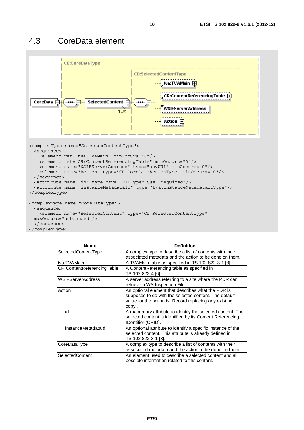

| <b>Name</b>                | <b>Definition</b>                                                                                                                                                               |
|----------------------------|---------------------------------------------------------------------------------------------------------------------------------------------------------------------------------|
| SelectedContentType        | A complex type to describe a list of contents with their<br>associated metadata and the action to be done on them.                                                              |
| tva:TVAMain                | A TVAMain table as specified in TS 102 822-3-1 [3].                                                                                                                             |
| CR:ContentReferencingTable | A ContentReferencing table as specified in<br>TS 102 822-4 [6].                                                                                                                 |
| <b>WSIFServerAddress</b>   | A server address referring to a site where the PDR can<br>retrieve a WS Inspection File.                                                                                        |
| Action                     | An optional element that describes what the PDR is<br>supposed to do with the selected content. The default<br>value for the action is "Record replacing any existing<br>copy". |
| id                         | A mandatory attribute to identify the selected content. The<br>selected content is identified by its Content Referencing<br>IDentifier (CRID).                                  |
| instanceMetadataId         | An optional attribute to identify a specific instance of the<br>selected content. This attribute is already defined in<br>TS 102 822-3-1 [3].                                   |
| CoreDataType               | A complex type to describe a list of contents with their<br>associated metadata and the action to be done on them.                                                              |
| SelectedContent            | An element used to describe a selected content and all<br>possible information related to this content.                                                                         |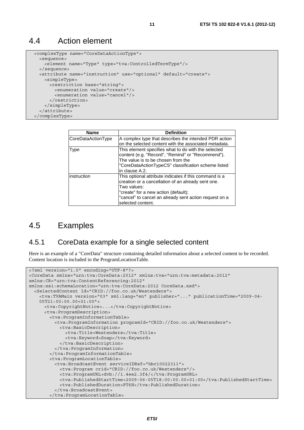#### 4.4 Action element

```
 <complexType name="CoreDataActionType"> 
  <sequence> 
    <element name="Type" type="tva:ControlledTermType"/> 
  </sequence> 
  <attribute name="instruction" use="optional" default="create"> 
    <simpleType> 
       <restriction base="string"> 
         <enumeration value="create"/> 
         <enumeration value="cancel"/> 
       </restriction> 
     </simpleType> 
   </attribute> 
 </complexType>
```

| <b>Name</b>        | <b>Definition</b>                                                                                                                                                                                                                                  |
|--------------------|----------------------------------------------------------------------------------------------------------------------------------------------------------------------------------------------------------------------------------------------------|
| CoreDataActionType | A complex type that describes the intended PDR action                                                                                                                                                                                              |
|                    | on the selected content with the associated metadata.                                                                                                                                                                                              |
| <b>Type</b>        | This element specifies what to do with the selected<br>content (e.g. "Record", "Remind" or "Recommend").<br>The value is to be chosen from the<br>"CoreDataActionTypeCS" classification scheme listed<br>in clause A.2.                            |
| instruction        | This optional attribute indicates if this command is a<br>creation or a cancellation of an already sent one.<br>Two values:<br>"create" for a new action (default);<br>"cancel" to cancel an already sent action request on a<br>selected content. |

#### 4.5 Examples

#### 4.5.1 CoreData example for a single selected content

Here is an example of a "CoreData" structure containing detailed information about a selected content to be recorded. Content location is included in the ProgramLocationTable.

```
<?xml version="1.0" encoding="UTF-8"?> 
<CoreData xmlns="urn:tva:CoreData:2012" xmlns:tva="urn:tva:metadata:2012" 
xmlns:CR="urn:tva:ContentReferencing:2012" 
xmlns:xsi:schemaLocation="urn:tva:CoreData:2012 CoreData.xsd"> 
   <SelectedContent Id="CRID://foo.co.uk/Westenders"> 
     <tva:TVAMain version="03" xml:lang="en" publisher="..." publicationTime="2009-04- 
    05T21:00:00.00+01:00"> 
      <tva:CopyrightNotice>...</tva:CopyrightNotice> 
       <tva:ProgramDescription> 
        <tva:ProgramInformationTable> 
          <tva:ProgramInformation programId="CRID://foo.co.uk/Westenders"> 
            <tva:BasicDescription> 
              <tva:Title>Westenders</tva:Title> 
               <tva:Keyword>Soap</tva:Keyword> 
            </tva:BasicDescription> 
          </tva:ProgramInformation> 
         </tva:ProgramInformationTable> 
        <tva:ProgramLocationTable> 
          <tva:BroadcastEvent serviceIDRef="hbc10022311"> 
            <tva:Program crid="CRID://foo.co.uk/Westenders"/> 
            <tva:ProgramURL>dvb://1.4ee2.3f4/</tva:ProgramURL> 
            <tva:PublishedStartTime>2009-06-05T18:00:00.00+01:00</tva:PublishedStartTime> 
            <tva:PublishedDuration>PT6H</tva:PublishedDuration> 
           </tva:BroadcastEvent> 
         </tva:ProgramLocationTable>
```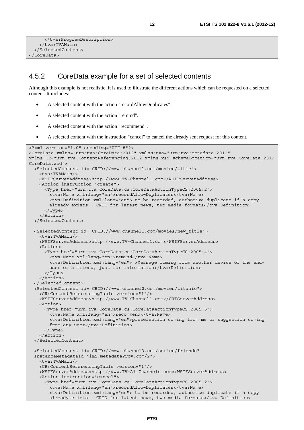```
 </tva:ProgramDescription> 
     </tva:TVAMain> 
   </SelectedContent> 
</CoreData>
```
#### 4.5.2 CoreData example for a set of selected contents

Although this example is not realistic, it is used to illustrate the different actions which can be requested on a selected content. It includes:

- A selected content with the action "recordAllowDuplicates".
- A selected content with the action "remind".
- A selected content with the action "recommend".
- A selected content with the instruction "cancel" to cancel the already sent request for this content.

```
<?xml version="1.0" encoding="UTF-8"?> 
<CoreData xmlns="urn:tva:CoreData:2012" xmlns:tva="urn:tva:metadata:2012" 
xmlns:CR="urn:tva:ContentReferencing:2012 xmlns:xsi:schemaLocation="urn:tva:CoreData:2012 
CoreData.xsd"> 
   <SelectedContent id="CRID://www.channel1.com/movies/title"> 
     <tva:TVAMain/> 
    <WSIFServerAddress>http://www.TV-Channel1.com</WSIFServerAddress> 
    <Action instruction="create"> 
      <Type href="urn:tva:CoreData:cs:CoreDataActionTypeCS:2005:2"> 
        <tva:Name xml:lang="en">recordAllowDuplicates</tva:Name> 
        <tva:Definition xml:lang="en"> to be recorded, authorize duplicate if a copy 
       already exists : CRID for latest news, two media formats</tva:Definition>
      </Type> 
     </Action> 
   </SelectedContent> 
   <SelectedContent id="CRID://www.channel1.com/movies/new_title"> 
    <tva:TVAMain/> 
    <WSIFServerAddress>http://www.TV-Channel1.com</WSIFServerAddress> 
    <Action> 
      <Type href="urn:tva:CoreData:cs:CoreDataActionTypeCS:2005:4"> 
        <tva:Name xml:lang="en">remind</tva:Name> 
        <tva:Definition xml:lang="en"> >Message coming from another device of the end- 
       user or a friend, just for information</tva:Definition>
      </Type> 
     </Action> 
   </SelectedContent> 
   <SelectedContent id="CRID://www.channel2.com/movies/titanic"> 
    <CR:ContentReferencingTable version="1"/> 
    <WSIFServerAddress>http://www.TV-Channel1.com</CRTServerAddress> 
    <Action> 
      <Type href="urn:tva:CoreData:cs:CoreDataActionTypeCS:2005:5"> 
        <tva:Name xml:lang="en">recommend</tva:Name> 
        <tva:Definition xml:lang="en">preselection coming from me or suggestion coming 
       from any user</tva:Definition>
      </Type> 
     </Action> 
   </SelectedContent> 
   <SelectedContent id="CRID://www.channel3.com/series/friends" 
  InstanceMetadataId="imi:metadataProv.com/2"> 
    <tva:TVAMain/> 
     <CR:ContentReferencingTable version="1"/> 
    <WSIFServerAddress>http://www.TV-AllChannels.com</WSIFServerAddress> 
    <Action instruction="cancel"> 
       <Type href="urn:tva:CoreData:cs:CoreDataActionTypeCS:2005:2"> 
        <tva:Name xml:lang="en">recordAllowDuplicates</tva:Name> 
        <tva:Definition xml:lang="en"> to be recorded, authorize duplicate if a copy 
       already exists : CRID for latest news, two media formats</tva:Definition>
```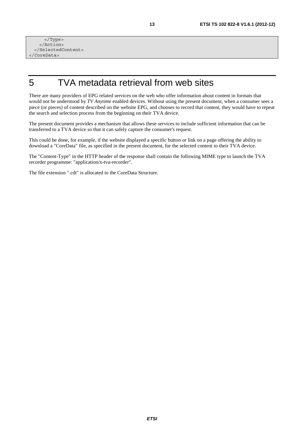</Type> </Action> </SelectedContent> </CoreData>

## 5 TVA metadata retrieval from web sites

There are many providers of EPG related services on the web who offer information about content in formats that would not be understood by *TV Anytime* enabled devices. Without using the present document, when a consumer sees a piece (or pieces) of content described on the website EPG, and chooses to record that content, they would have to repeat the search and selection process from the beginning on their TVA device.

The present document provides a mechanism that allows these services to include sufficient information that can be transferred to a TVA device so that it can safely capture the consumer's request.

This could be done, for example, if the website displayed a specific button or link on a page offering the ability to download a "CoreData" file, as specified in the present document, for the selected content to their TVA device.

The "Content-Type" in the HTTP header of the response shall contain the following MIME type to launch the TVA recorder programme: "application/x-tva-recorder".

The file extension ".cdt" is allocated to the CoreData Structure.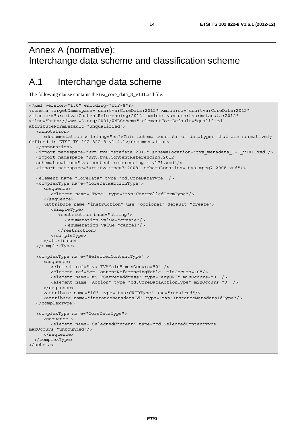# Annex A (normative): Interchange data scheme and classification scheme

## A.1 Interchange data scheme

The following clause contains the tva\_core\_data\_8\_v141.xsd file.

```
<?xml version="1.0" encoding="UTF-8"?> 
<schema targetNamespace="urn:tva:CoreData:2012" xmlns:cd="urn:tva:CoreData:2012" 
xmlns:cr="urn:tva:ContentReferencing:2012" xmlns:tva="urn:tva:metadata:2012" 
xmlns="http://www.w3.org/2001/XMLSchema" elementFormDefault="qualified" 
attributeFormDefault="unqualified"> 
   <annotation> 
      <documentation xml:lang="en">This schema consists of datatypes that are normatively 
defined in ETSI TS 102 822-8 v1.4.1</documentation> 
   </annotation> 
   <import namespace="urn:tva:metadata:2012" schemaLocation="tva_metadata_3-1_v181.xsd"/> 
   <import namespace="urn:tva:ContentReferencing:2012" 
   schemaLocation="tva_content_referencing_4_v171.xsd"/> 
   <import namespace="urn:tva:mpeg7:2008" schemaLocation="tva_mpeg7_2008.xsd"/> 
   <element name="CoreData" type="cd:CoreDataType" /> 
   <complexType name="CoreDataActionType"> 
      <sequence> 
         <element name="Type" type="tva:ControlledTermType"/> 
      </sequence> 
      <attribute name="instruction" use="optional" default="create"> 
         <simpleType> 
            <restriction base="string"> 
               <enumeration value="create"/> 
               <enumeration value="cancel"/> 
            </restriction> 
         </simpleType> 
      </attribute> 
   </complexType> 
   <complexType name="SelectedContentType" > 
      <sequence> 
         <element ref="tva:TVAMain" minOccurs="0" /> 
         <element ref="cr:ContentReferencingTable" minOccurs="0"/> 
         <element name="WSIFServerAddress" type="anyURI" minOccurs="0" /> 
         <element name="Action" type="cd:CoreDataActionType" minOccurs="0" /> 
      </sequence> 
      <attribute name="id" type="tva:CRIDType" use="required"/> 
      <attribute name="instanceMetadataId" type="tva:InstanceMetadataIdType"/> 
   </complexType> 
   <complexType name="CoreDataType"> 
      <sequence > 
         <element name="SelectedContent" type="cd:SelectedContentType" 
maxOccurs="unbounded"/> 
      </sequence> 
   </complexType> 
</schema>
```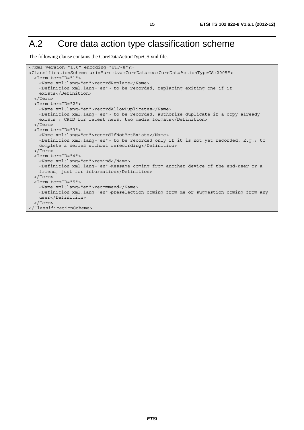# A.2 Core data action type classification scheme

The following clause contains the CoreDataActionTypeCS.xml file.

```
<?xml version="1.0" encoding="UTF-8"?> 
<ClassificationScheme uri="urn:tva:CoreData:cs:CoreDataActionTypeCS:2005"> 
  <Term termID="1"> 
    <Name xml:lang="en">recordReplace</Name> 
    <Definition xml:lang="en"> to be recorded, replacing exiting one if it 
    exists</Definition> 
   </Term> 
  <Term termID="2"> 
    <Name xml:lang="en">recordAllowDuplicates</Name> 
    <Definition xml:lang="en"> to be recorded, authorize duplicate if a copy already 
   exists : CRID for latest news, two media formats</Definition>
  </Term> 
  <Term termID="3"> 
    <Name xml:lang="en">recordIfNotYetExists</Name> 
    <Definition xml:lang="en"> to be recorded only if it is not yet recorded. E.g.: to 
   complete a series without rerecording</Definition>
  </Term> 
  <Term termID="4"> 
    <Name xml:lang="en">remind</Name> 
    <Definition xml:lang="en">Message coming from another device of the end-user or a 
    friend, just for information</Definition> 
  </Term> 
  <Term termID="5"> 
    <Name xml:lang="en">recommend</Name> 
    <Definition xml:lang="en">preselection coming from me or suggestion coming from any 
    user</Definition> 
   </Term> 
</ClassificationScheme>
```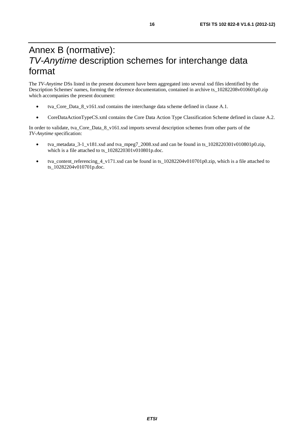# Annex B (normative): *TV-Anytime* description schemes for interchange data format

The *TV-Anytime* DSs listed in the present document have been aggregated into several xsd files identified by the Description Schemes' names, forming the reference documentation, contained in archive ts\_10282208v010601p0.zip which accompanies the present document:

- tva\_Core\_Data\_8\_v161.xsd contains the interchange data scheme defined in clause A.1.
- CoreDataActionTypeCS.xml contains the Core Data Action Type Classification Scheme defined in clause A.2.

In order to validate, tva\_Core\_Data\_8\_v161.xsd imports several description schemes from other parts of the *TV-Anytime* specification:

- tva\_metadata\_3-1\_v181.xsd and tva\_mpeg7\_2008.xsd and can be found in ts\_1028220301v010801p0.zip, which is a file attached to ts\_1028220301v010801p.doc.
- tva content referencing 4 v171.xsd can be found in ts 10282204v010701p0.zip, which is a file attached to ts\_10282204v010701p.doc.